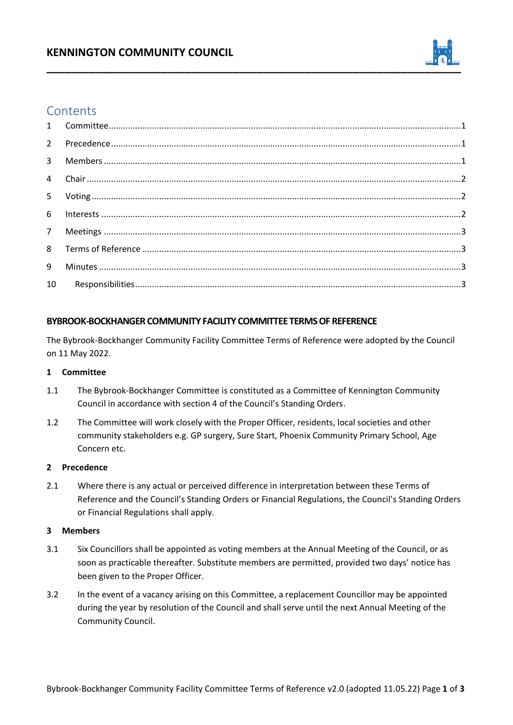## **KENNINGTON COMMUNITY COUNCIL**



# **Contents**

## **BYBROOK-BOCKHANGER COMMUNITY FACILITY COMMITTEE TERMS OF REFERENCE**

The Bybrook-Bockhanger Community Facility Committee Terms of Reference were adopted by the Council on 11 May 2022.

## **1 Committee**

- 1.1 The Bybrook-Bockhanger Committee is constituted as a Committee of Kennington Community Council in accordance with section 4 of the Council's Standing Orders.
- 1.2 The Committee will work closely with the Proper Officer, residents, local societies and other community stakeholders e.g. GP surgery, Sure Start, Phoenix Community Primary School, Age Concern etc.

### **2 Precedence**

2.1 Where there is any actual or perceived difference in interpretation between these Terms of Reference and the Council's Standing Orders or Financial Regulations, the Council's Standing Orders or Financial Regulations shall apply.

### **3 Members**

- 3.1 Six Councillors shall be appointed as voting members at the Annual Meeting of the Council, or as soon as practicable thereafter. Substitute members are permitted, provided two days' notice has been given to the Proper Officer.
- 3.2 In the event of a vacancy arising on this Committee, a replacement Councillor may be appointed during the year by resolution of the Council and shall serve until the next Annual Meeting of the Community Council.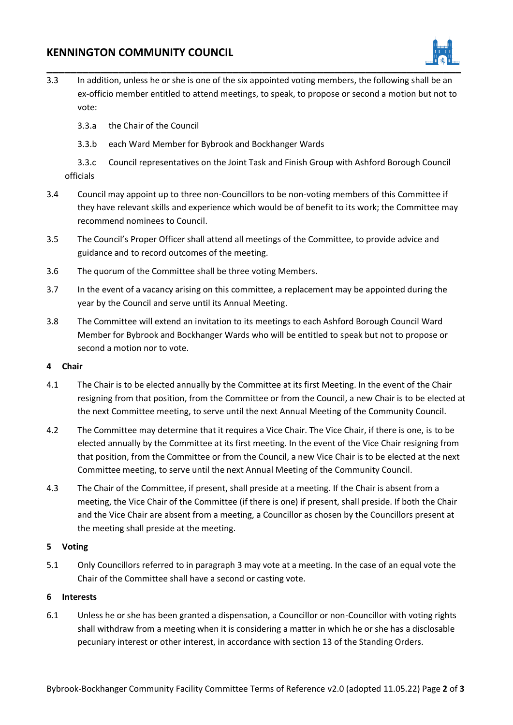## **KENNINGTON COMMUNITY COUNCIL**



- 3.3 In addition, unless he or she is one of the six appointed voting members, the following shall be an ex-officio member entitled to attend meetings, to speak, to propose or second a motion but not to vote:
	- 3.3.a the Chair of the Council
	- 3.3.b each Ward Member for Bybrook and Bockhanger Wards

3.3.c Council representatives on the Joint Task and Finish Group with Ashford Borough Council officials

- 3.4 Council may appoint up to three non-Councillors to be non-voting members of this Committee if they have relevant skills and experience which would be of benefit to its work; the Committee may recommend nominees to Council.
- 3.5 The Council's Proper Officer shall attend all meetings of the Committee, to provide advice and guidance and to record outcomes of the meeting.
- 3.6 The quorum of the Committee shall be three voting Members.
- 3.7 In the event of a vacancy arising on this committee, a replacement may be appointed during the year by the Council and serve until its Annual Meeting.
- 3.8 The Committee will extend an invitation to its meetings to each Ashford Borough Council Ward Member for Bybrook and Bockhanger Wards who will be entitled to speak but not to propose or second a motion nor to vote.

## **4 Chair**

- 4.1 The Chair is to be elected annually by the Committee at its first Meeting. In the event of the Chair resigning from that position, from the Committee or from the Council, a new Chair is to be elected at the next Committee meeting, to serve until the next Annual Meeting of the Community Council.
- 4.2 The Committee may determine that it requires a Vice Chair. The Vice Chair, if there is one, is to be elected annually by the Committee at its first meeting. In the event of the Vice Chair resigning from that position, from the Committee or from the Council, a new Vice Chair is to be elected at the next Committee meeting, to serve until the next Annual Meeting of the Community Council.
- 4.3 The Chair of the Committee, if present, shall preside at a meeting. If the Chair is absent from a meeting, the Vice Chair of the Committee (if there is one) if present, shall preside. If both the Chair and the Vice Chair are absent from a meeting, a Councillor as chosen by the Councillors present at the meeting shall preside at the meeting.

## **5 Voting**

5.1 Only Councillors referred to in paragraph 3 may vote at a meeting. In the case of an equal vote the Chair of the Committee shall have a second or casting vote.

## **6 Interests**

6.1 Unless he or she has been granted a dispensation, a Councillor or non-Councillor with voting rights shall withdraw from a meeting when it is considering a matter in which he or she has a disclosable pecuniary interest or other interest, in accordance with section 13 of the Standing Orders.